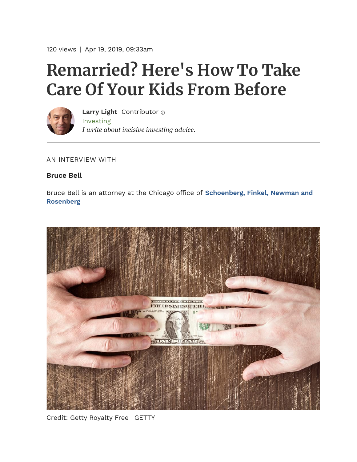120 views | Apr 19, 2019, 09:33am

## **Remarried? Here's How To Take Care Of Your Kids From Before**



[Investing](https://www.forbes.com/investing) *I write about incisive investing advice.* **[Larry Light](https://www.forbes.com/sites/lawrencelight/)** Contributor

AN INTERVIEW WITH

## **Bruce Bell**

[Bruce Bell is an attorney at the Chicago office of](https://www.sfnr.com/) **Schoenberg, Finkel, Newman and Rosenberg**



Credit: Getty Royalty Free GETTY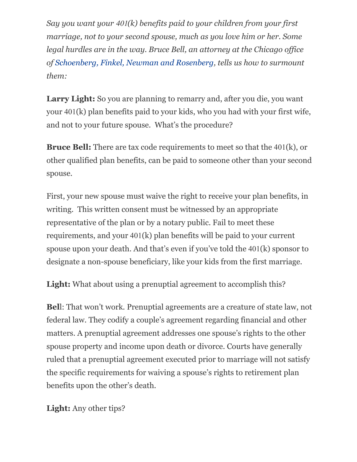*Say you want your* 401*(k) benefits paid to your children from your first marriage, not to your second spouse, much as you love him or her. Some legal hurdles are in the way. Bruce Bell, an attorney at the Chicago office of [Schoenberg, Finkel, Newman and Rosenberg,](https://www.sfnr.com/) tells us how to surmount them:*

Larry Light: So you are planning to remarry and, after you die, you want your 401(k) plan benefits paid to your kids, who you had with your first wife, and not to your future spouse. What's the procedure?

**Bruce Bell:** There are tax code requirements to meet so that the 401(k), or other qualified plan benefits, can be paid to someone other than your second spouse.

First, your new spouse must waive the right to receive your plan benefits, in writing. This written consent must be witnessed by an appropriate representative of the plan or by a notary public. Fail to meet these requirements, and your 401(k) plan benefits will be paid to your current spouse upon your death. And that's even if you've told the 401(k) sponsor to designate a non-spouse beneficiary, like your kids from the first marriage.

**Light:** What about using a prenuptial agreement to accomplish this?

**Bel**l: That won't work. Prenuptial agreements are a creature of state law, not federal law. They codify a couple's agreement regarding financial and other matters. A prenuptial agreement addresses one spouse's rights to the other spouse property and income upon death or divorce. Courts have generally ruled that a prenuptial agreement executed prior to marriage will not satisfy the specific requirements for waiving a spouse's rights to retirement plan benefits upon the other's death.

**Light:** Any other tips?